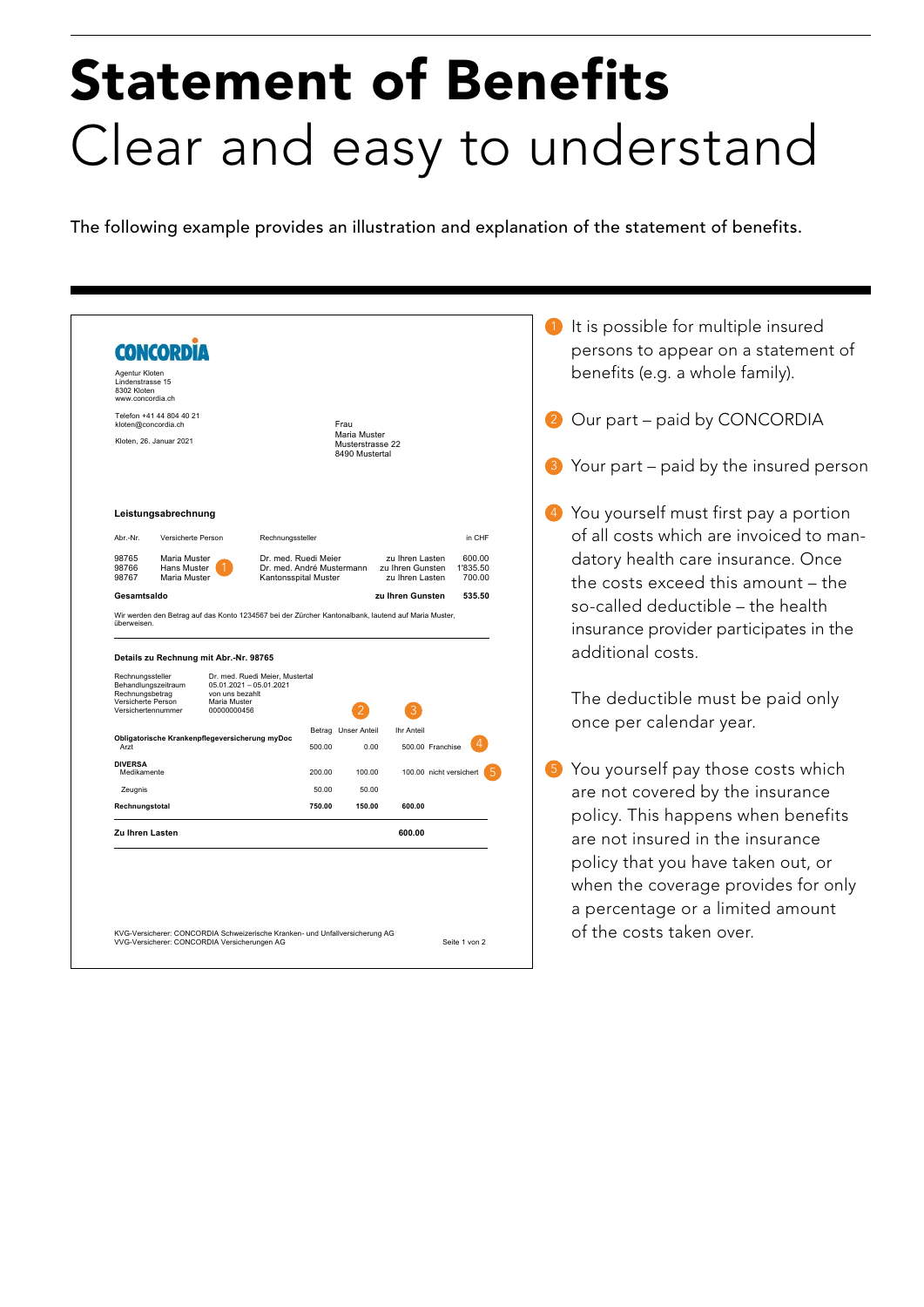## **Statement of Benefits** Clear and easy to understand

The following example provides an illustration and explanation of the statement of benefits.

| kloten@concordia.ch<br>Frau<br>Maria Muster<br>Kloten, 26. Januar 2021<br>Musterstrasse 22<br>8490 Mustertal<br>Leistungsabrechnung<br>Abr.-Nr.<br>Versicherte Person<br>Rechnungssteller<br>zu Ihren Lasten<br>98765<br>Maria Muster<br>Dr. med. Ruedi Meier<br>98766<br>Hans Muster<br>Dr. med. André Mustermann<br>zu Ihren Gunsten<br>98767<br>Maria Muster<br>Kantonsspital Muster<br>zu Ihren Lasten<br>Gesamtsaldo<br>zu Ihren Gunsten<br>Wir werden den Betrag auf das Konto 1234567 bei der Zürcher Kantonalbank, lautend auf Maria Muster,<br>überweisen.<br>Details zu Rechnung mit Abr.-Nr. 98765<br>Dr. med. Ruedi Meier, Mustertal<br>Rechnungssteller<br>$05.01.2021 - 05.01.2021$<br>Behandlungszeitraum<br>Rechnungsbetrag<br>von uns bezahlt<br>Versicherte Person<br>Maria Muster<br>00000000456<br>Versichertennummer<br>Betrag Unser Anteil<br>Ihr Anteil<br>Obligatorische Krankenpflegeversicherung myDoc<br>500.00 Franchise<br>Arzt<br>500.00<br>0.00<br><b>DIVERSA</b><br>200.00<br>100.00<br>Medikamente<br>100.00 nicht versichert<br>50.00<br>50.00<br>Zeugnis<br>750.00<br>150.00<br>600.00<br>Rechnungstotal<br>Zu Ihren Lasten<br>600.00 |  | 8302 Kloten<br>www.concordia.ch<br>Telefon +41 44 804 40 21 |  |  |  |                              |  |
|--------------------------------------------------------------------------------------------------------------------------------------------------------------------------------------------------------------------------------------------------------------------------------------------------------------------------------------------------------------------------------------------------------------------------------------------------------------------------------------------------------------------------------------------------------------------------------------------------------------------------------------------------------------------------------------------------------------------------------------------------------------------------------------------------------------------------------------------------------------------------------------------------------------------------------------------------------------------------------------------------------------------------------------------------------------------------------------------------------------------------------------------------------------------------|--|-------------------------------------------------------------|--|--|--|------------------------------|--|
|                                                                                                                                                                                                                                                                                                                                                                                                                                                                                                                                                                                                                                                                                                                                                                                                                                                                                                                                                                                                                                                                                                                                                                          |  |                                                             |  |  |  |                              |  |
|                                                                                                                                                                                                                                                                                                                                                                                                                                                                                                                                                                                                                                                                                                                                                                                                                                                                                                                                                                                                                                                                                                                                                                          |  |                                                             |  |  |  |                              |  |
|                                                                                                                                                                                                                                                                                                                                                                                                                                                                                                                                                                                                                                                                                                                                                                                                                                                                                                                                                                                                                                                                                                                                                                          |  |                                                             |  |  |  |                              |  |
|                                                                                                                                                                                                                                                                                                                                                                                                                                                                                                                                                                                                                                                                                                                                                                                                                                                                                                                                                                                                                                                                                                                                                                          |  |                                                             |  |  |  | in CHF                       |  |
|                                                                                                                                                                                                                                                                                                                                                                                                                                                                                                                                                                                                                                                                                                                                                                                                                                                                                                                                                                                                                                                                                                                                                                          |  |                                                             |  |  |  | 600.00<br>1'835.50<br>700.00 |  |
|                                                                                                                                                                                                                                                                                                                                                                                                                                                                                                                                                                                                                                                                                                                                                                                                                                                                                                                                                                                                                                                                                                                                                                          |  |                                                             |  |  |  | 535.50                       |  |
|                                                                                                                                                                                                                                                                                                                                                                                                                                                                                                                                                                                                                                                                                                                                                                                                                                                                                                                                                                                                                                                                                                                                                                          |  |                                                             |  |  |  |                              |  |
|                                                                                                                                                                                                                                                                                                                                                                                                                                                                                                                                                                                                                                                                                                                                                                                                                                                                                                                                                                                                                                                                                                                                                                          |  |                                                             |  |  |  |                              |  |
|                                                                                                                                                                                                                                                                                                                                                                                                                                                                                                                                                                                                                                                                                                                                                                                                                                                                                                                                                                                                                                                                                                                                                                          |  |                                                             |  |  |  |                              |  |
|                                                                                                                                                                                                                                                                                                                                                                                                                                                                                                                                                                                                                                                                                                                                                                                                                                                                                                                                                                                                                                                                                                                                                                          |  |                                                             |  |  |  |                              |  |
|                                                                                                                                                                                                                                                                                                                                                                                                                                                                                                                                                                                                                                                                                                                                                                                                                                                                                                                                                                                                                                                                                                                                                                          |  |                                                             |  |  |  |                              |  |
|                                                                                                                                                                                                                                                                                                                                                                                                                                                                                                                                                                                                                                                                                                                                                                                                                                                                                                                                                                                                                                                                                                                                                                          |  |                                                             |  |  |  |                              |  |
|                                                                                                                                                                                                                                                                                                                                                                                                                                                                                                                                                                                                                                                                                                                                                                                                                                                                                                                                                                                                                                                                                                                                                                          |  |                                                             |  |  |  |                              |  |
|                                                                                                                                                                                                                                                                                                                                                                                                                                                                                                                                                                                                                                                                                                                                                                                                                                                                                                                                                                                                                                                                                                                                                                          |  |                                                             |  |  |  |                              |  |

- It is possible for multiple insured persons to appear on a statement of benefits (e.g. a whole family).
- 2 Our part paid by CONCORDIA
- 8 Your part paid by the insured person
- 4 You yourself must first pay a portion of all costs which are invoiced to mandatory health care insurance. Once the costs exceed this amount - the so-called deductible - the health insurance provider participates in the additional costs.

The deductible must be paid only once per calendar year.

5 You yourself pay those costs which are not covered by the insurance policy. This happens when benefits are not insured in the insurance policy that you have taken out, or when the coverage provides for only a percentage or a limited amount of the costs taken over.